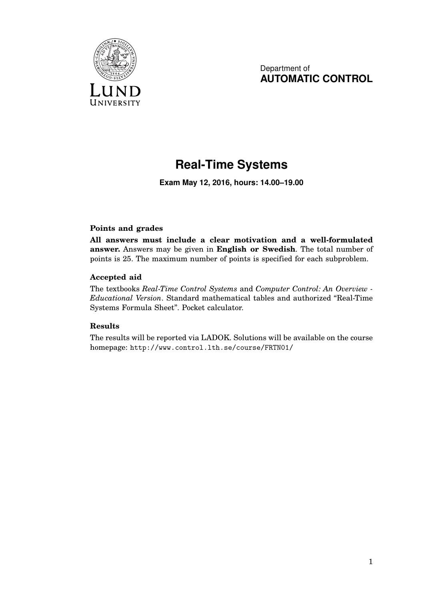

Department of **AUTOMATIC CONTROL**

## **Real-Time Systems**

**Exam May 12, 2016, hours: 14.00–19.00**

## **Points and grades**

**All answers must include a clear motivation and a well-formulated answer.** Answers may be given in **English or Swedish**. The total number of points is 25. The maximum number of points is specified for each subproblem.

## **Accepted aid**

The textbooks *Real-Time Control Systems* and *Computer Control: An Overview - Educational Version*. Standard mathematical tables and authorized "Real-Time Systems Formula Sheet". Pocket calculator.

## **Results**

The results will be reported via LADOK. Solutions will be available on the course homepage: http://www.control.lth.se/course/FRTN01/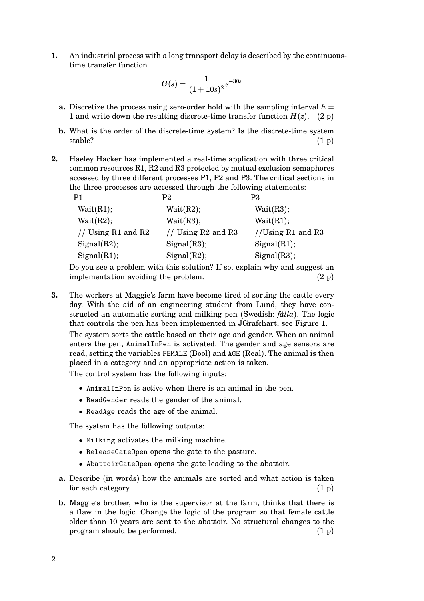**1.** An industrial process with a long transport delay is described by the continuoustime transfer function

$$
G(s) = \frac{1}{(1+10s)^2}e^{-30s}
$$

- **a.** Discretize the process using zero-order hold with the sampling interval  $h =$ 1 and write down the resulting discrete-time transfer function  $H(z)$ . (2 p)
- **b.** What is the order of the discrete-time system? Is the discrete-time system stable?  $(1\text{ p})$
- **2.** Haeley Hacker has implemented a real-time application with three critical common resources R1, R2 and R3 protected by mutual exclusion semaphores accessed by three different processes P1, P2 and P3. The critical sections in the three processes are accessed through the following statements:

| P1                 | P2                     | P3                |
|--------------------|------------------------|-------------------|
| Wait(R1);          | Wait(R2);              | Wait(R3);         |
| Wait(R2);          | Wait(R3);              | Wait(R1);         |
| // Using R1 and R2 | // Using $R2$ and $R3$ | //Using R1 and R3 |
| Signal(R2);        | Signal(R3);            | Signal(R1);       |
| Signal(R1);        | Signal(R2);            | Signal(R3);       |
|                    |                        |                   |

Do you see a problem with this solution? If so, explain why and suggest an implementation avoiding the problem.  $(2 p)$ 

**3.** The workers at Maggie's farm have become tired of sorting the cattle every day. With the aid of an engineering student from Lund, they have constructed an automatic sorting and milking pen (Swedish: *fålla*). The logic that controls the pen has been implemented in JGrafchart, see Figure 1.

The system sorts the cattle based on their age and gender. When an animal enters the pen, AnimalInPen is activated. The gender and age sensors are read, setting the variables FEMALE (Bool) and AGE (Real). The animal is then placed in a category and an appropriate action is taken.

The control system has the following inputs:

- AnimalInPen is active when there is an animal in the pen.
- ReadGender reads the gender of the animal.
- ReadAge reads the age of the animal.

The system has the following outputs:

- Milking activates the milking machine.
- ReleaseGateOpen opens the gate to the pasture.
- AbattoirGateOpen opens the gate leading to the abattoir.
- **a.** Describe (in words) how the animals are sorted and what action is taken for each category.  $(1\text{ p})$
- **b.** Maggie's brother, who is the supervisor at the farm, thinks that there is a flaw in the logic. Change the logic of the program so that female cattle older than 10 years are sent to the abattoir. No structural changes to the program should be performed.  $(1 \text{ p})$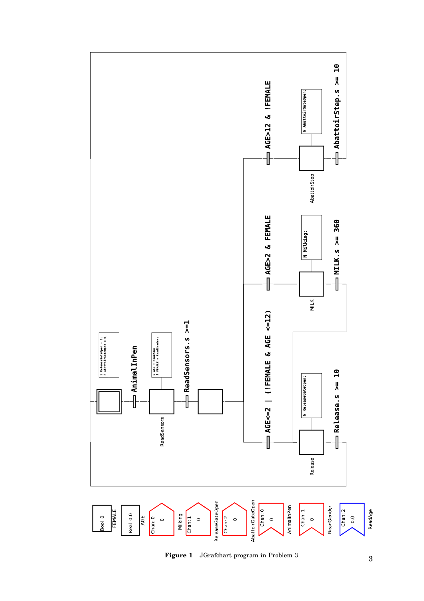

Figure 1 JGrafchart program in Problem 3 3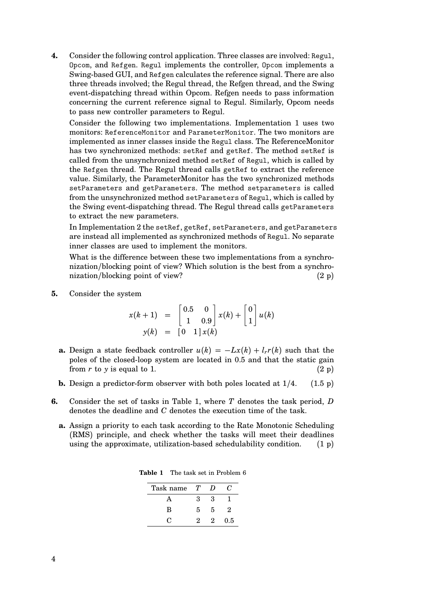**4.** Consider the following control application. Three classes are involved: Regul, Opcom, and Refgen. Regul implements the controller, Opcom implements a Swing-based GUI, and Refgen calculates the reference signal. There are also three threads involved; the Regul thread, the Refgen thread, and the Swing event-dispatching thread within Opcom. Refgen needs to pass information concerning the current reference signal to Regul. Similarly, Opcom needs to pass new controller parameters to Regul.

Consider the following two implementations. Implementation 1 uses two monitors: ReferenceMonitor and ParameterMonitor. The two monitors are implemented as inner classes inside the Regul class. The ReferenceMonitor has two synchronized methods: setRef and getRef. The method setRef is called from the unsynchronized method setRef of Regul, which is called by the Refgen thread. The Regul thread calls getRef to extract the reference value. Similarly, the ParameterMonitor has the two synchronized methods setParameters and getParameters. The method setparameters is called from the unsynchronized method setParameters of Regul, which is called by the Swing event-dispatching thread. The Regul thread calls getParameters to extract the new parameters.

In Implementation 2 the setRef, getRef, setParameters, and getParameters are instead all implemented as synchronized methods of Regul. No separate inner classes are used to implement the monitors.

What is the difference between these two implementations from a synchronization/blocking point of view? Which solution is the best from a synchronization/blocking point of view? (2 p)

**5.** Consider the system

$$
x(k+1) = \begin{bmatrix} 0.5 & 0 \\ 1 & 0.9 \end{bmatrix} x(k) + \begin{bmatrix} 0 \\ 1 \end{bmatrix} u(k)
$$

$$
y(k) = \begin{bmatrix} 0 & 1 \end{bmatrix} x(k)
$$

- **a.** Design a state feedback controller  $u(k) = -Lx(k) + l_r r(k)$  such that the poles of the closed-loop system are located in 0.5 and that the static gain from  $r$  to  $y$  is equal to 1. (2 p)
- **b.** Design a predictor-form observer with both poles located at  $1/4$ . (1.5 p)
- **6.** Consider the set of tasks in Table 1, where *T* denotes the task period, *D* denotes the deadline and *C* denotes the execution time of the task.
	- **a.** Assign a priority to each task according to the Rate Monotonic Scheduling (RMS) principle, and check whether the tasks will meet their deadlines using the approximate, utilization-based schedulability condition.  $(1 p)$

| Task name | T | D | ( !         |
|-----------|---|---|-------------|
|           | 3 | 3 |             |
| в         | 5 | 5 | $\mathbf 2$ |
| 0         | 9 | 2 | 0.5         |

**Table 1** The task set in Problem 6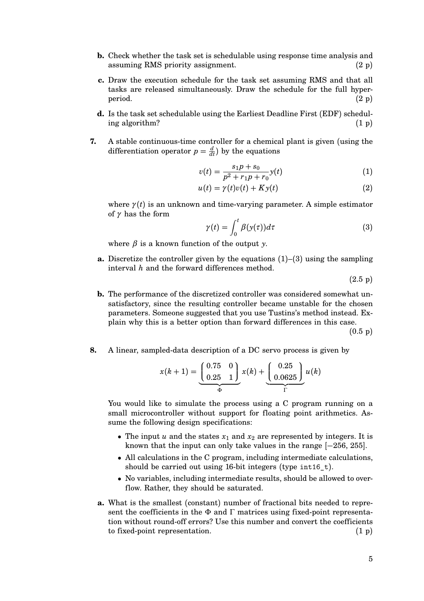- **b.** Check whether the task set is schedulable using response time analysis and assuming RMS priority assignment. (2 p)
- **c.** Draw the execution schedule for the task set assuming RMS and that all tasks are released simultaneously. Draw the schedule for the full hyper- $\text{period.} \tag{2 p}$
- **d.** Is the task set schedulable using the Earliest Deadline First (EDF) schedul- $\log$  algorithm? (1 p)
- **7.** A stable continuous-time controller for a chemical plant is given (using the differentiation operator  $p = \frac{d}{dt}$ ) by the equations

$$
v(t) = \frac{s_1 p + s_0}{p^2 + r_1 p + r_0} y(t)
$$
 (1)

$$
u(t) = \gamma(t)v(t) + Ky(t)
$$
\n(2)

where  $\gamma(t)$  is an unknown and time-varying parameter. A simple estimator of  $\gamma$  has the form

$$
\gamma(t) = \int_0^t \beta(y(\tau))d\tau \tag{3}
$$

where  $\beta$  is a known function of the output *y*.

**a.** Discretize the controller given by the equations  $(1)$ – $(3)$  using the sampling interval *h* and the forward differences method.

 $(2.5 p)$ 

**b.** The performance of the discretized controller was considered somewhat unsatisfactory, since the resulting controller became unstable for the chosen parameters. Someone suggested that you use Tustins's method instead. Explain why this is a better option than forward differences in this case.

(0.5 p)

**8.** A linear, sampled-data description of a DC servo process is given by

$$
x(k+1) = \underbrace{\begin{pmatrix} 0.75 & 0 \\ 0.25 & 1 \end{pmatrix}}_{\Phi} x(k) + \underbrace{\begin{pmatrix} 0.25 \\ 0.0625 \end{pmatrix}}_{\Gamma} u(k)
$$

You would like to simulate the process using a C program running on a small microcontroller without support for floating point arithmetics. Assume the following design specifications:

- The input  $u$  and the states  $x_1$  and  $x_2$  are represented by integers. It is known that the input can only take values in the range [−256, 255].
- All calculations in the C program, including intermediate calculations, should be carried out using 16-bit integers (type int16\_t).
- No variables, including intermediate results, should be allowed to overflow. Rather, they should be saturated.
- **a.** What is the smallest (constant) number of fractional bits needed to represent the coefficients in the  $\Phi$  and  $\Gamma$  matrices using fixed-point representation without round-off errors? Use this number and convert the coefficients to fixed-point representation. (1 p)